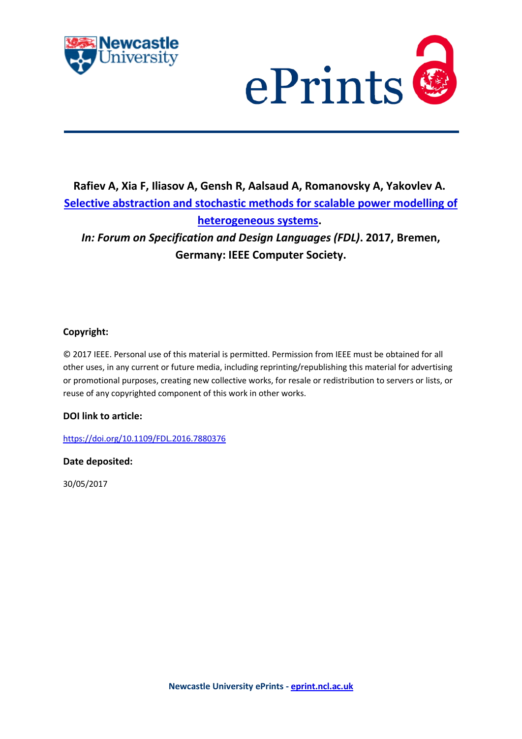



## **Rafiev A, Xia F, Iliasov A, Gensh R, Aalsaud A, Romanovsky A, Yakovlev A. [Selective abstraction and stochastic methods for scalable power modelling of](https://myimpact.ncl.ac.uk/ViewPublication.aspx?id=237651)  [heterogeneous systems.](https://myimpact.ncl.ac.uk/ViewPublication.aspx?id=237651)** *In: Forum on Specification and Design Languages (FDL)***. 2017, Bremen,**

**Germany: IEEE Computer Society.**

## **Copyright:**

© 2017 IEEE. Personal use of this material is permitted. Permission from IEEE must be obtained for all other uses, in any current or future media, including reprinting/republishing this material for advertising or promotional purposes, creating new collective works, for resale or redistribution to servers or lists, or reuse of any copyrighted component of this work in other works.

## **DOI link to article:**

<https://doi.org/10.1109/FDL.2016.7880376>

**Date deposited:** 

30/05/2017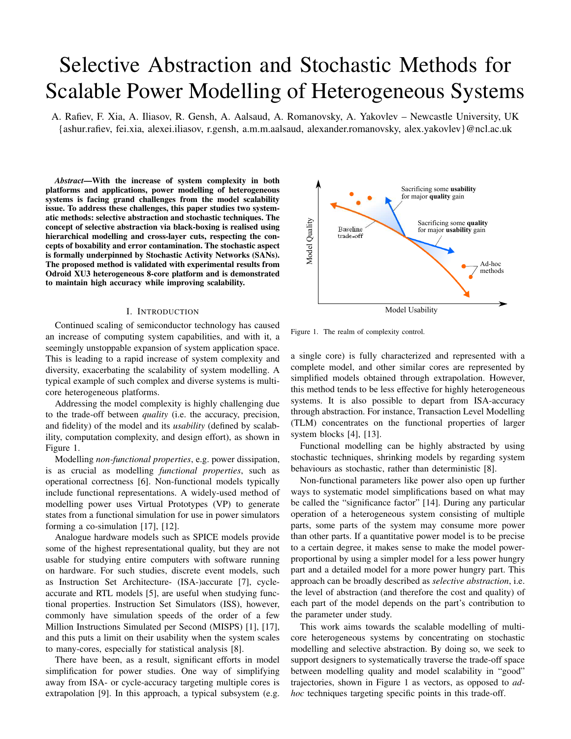# Selective Abstraction and Stochastic Methods for Scalable Power Modelling of Heterogeneous Systems

A. Rafiev, F. Xia, A. Iliasov, R. Gensh, A. Aalsaud, A. Romanovsky, A. Yakovlev – Newcastle University, UK {ashur.rafiev, fei.xia, alexei.iliasov, r.gensh, a.m.m.aalsaud, alexander.romanovsky, alex.yakovlev}@ncl.ac.uk

*Abstract*—With the increase of system complexity in both platforms and applications, power modelling of heterogeneous systems is facing grand challenges from the model scalability issue. To address these challenges, this paper studies two systematic methods: selective abstraction and stochastic techniques. The concept of selective abstraction via black-boxing is realised using hierarchical modelling and cross-layer cuts, respecting the concepts of boxability and error contamination. The stochastic aspect is formally underpinned by Stochastic Activity Networks (SANs). The proposed method is validated with experimental results from Odroid XU3 heterogeneous 8-core platform and is demonstrated to maintain high accuracy while improving scalability.

#### I. INTRODUCTION

Continued scaling of semiconductor technology has caused an increase of computing system capabilities, and with it, a seemingly unstoppable expansion of system application space. This is leading to a rapid increase of system complexity and diversity, exacerbating the scalability of system modelling. A typical example of such complex and diverse systems is multicore heterogeneous platforms.

Addressing the model complexity is highly challenging due to the trade-off between *quality* (i.e. the accuracy, precision, and fidelity) of the model and its *usability* (defined by scalability, computation complexity, and design effort), as shown in Figure 1.

Modelling *non-functional properties*, e.g. power dissipation, is as crucial as modelling *functional properties*, such as operational correctness [6]. Non-functional models typically include functional representations. A widely-used method of modelling power uses Virtual Prototypes (VP) to generate states from a functional simulation for use in power simulators forming a co-simulation [17], [12].

Analogue hardware models such as SPICE models provide some of the highest representational quality, but they are not usable for studying entire computers with software running on hardware. For such studies, discrete event models, such as Instruction Set Architecture- (ISA-)accurate [7], cycleaccurate and RTL models [5], are useful when studying functional properties. Instruction Set Simulators (ISS), however, commonly have simulation speeds of the order of a few Million Instructions Simulated per Second (MISPS) [1], [17], and this puts a limit on their usability when the system scales to many-cores, especially for statistical analysis [8].

There have been, as a result, significant efforts in model simplification for power studies. One way of simplifying away from ISA- or cycle-accuracy targeting multiple cores is extrapolation [9]. In this approach, a typical subsystem (e.g.



Figure 1. The realm of complexity control.

a single core) is fully characterized and represented with a complete model, and other similar cores are represented by simplified models obtained through extrapolation. However, this method tends to be less effective for highly heterogeneous systems. It is also possible to depart from ISA-accuracy through abstraction. For instance, Transaction Level Modelling (TLM) concentrates on the functional properties of larger system blocks [4], [13].

Functional modelling can be highly abstracted by using stochastic techniques, shrinking models by regarding system behaviours as stochastic, rather than deterministic [8].

Non-functional parameters like power also open up further ways to systematic model simplifications based on what may be called the "significance factor" [14]. During any particular operation of a heterogeneous system consisting of multiple parts, some parts of the system may consume more power than other parts. If a quantitative power model is to be precise to a certain degree, it makes sense to make the model powerproportional by using a simpler model for a less power hungry part and a detailed model for a more power hungry part. This approach can be broadly described as *selective abstraction*, i.e. the level of abstraction (and therefore the cost and quality) of each part of the model depends on the part's contribution to the parameter under study.

This work aims towards the scalable modelling of multicore heterogeneous systems by concentrating on stochastic modelling and selective abstraction. By doing so, we seek to support designers to systematically traverse the trade-off space between modelling quality and model scalability in "good" trajectories, shown in Figure 1 as vectors, as opposed to *adhoc* techniques targeting specific points in this trade-off.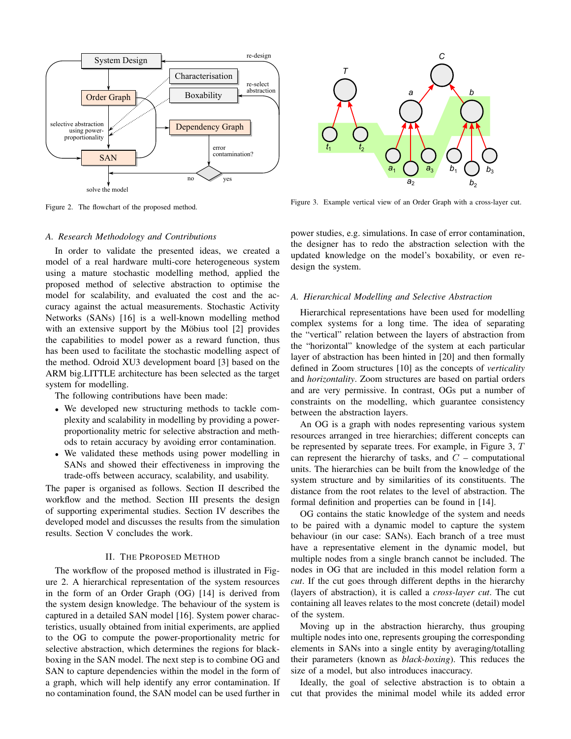

Figure 2. The flowchart of the proposed method.



Figure 3. Example vertical view of an Order Graph with a cross-layer cut.

#### *A. Research Methodology and Contributions*

In order to validate the presented ideas, we created a model of a real hardware multi-core heterogeneous system using a mature stochastic modelling method, applied the proposed method of selective abstraction to optimise the model for scalability, and evaluated the cost and the accuracy against the actual measurements. Stochastic Activity Networks (SANs) [16] is a well-known modelling method with an extensive support by the Möbius tool [2] provides the capabilities to model power as a reward function, thus has been used to facilitate the stochastic modelling aspect of the method. Odroid XU3 development board [3] based on the ARM big.LITTLE architecture has been selected as the target system for modelling.

The following contributions have been made:

- We developed new structuring methods to tackle complexity and scalability in modelling by providing a powerproportionality metric for selective abstraction and methods to retain accuracy by avoiding error contamination.
- We validated these methods using power modelling in SANs and showed their effectiveness in improving the trade-offs between accuracy, scalability, and usability.

The paper is organised as follows. Section II described the workflow and the method. Section III presents the design of supporting experimental studies. Section IV describes the developed model and discusses the results from the simulation results. Section V concludes the work.

#### II. THE PROPOSED METHOD

The workflow of the proposed method is illustrated in Figure 2. A hierarchical representation of the system resources in the form of an Order Graph (OG) [14] is derived from the system design knowledge. The behaviour of the system is captured in a detailed SAN model [16]. System power characteristics, usually obtained from initial experiments, are applied to the OG to compute the power-proportionality metric for selective abstraction, which determines the regions for blackboxing in the SAN model. The next step is to combine OG and SAN to capture dependencies within the model in the form of a graph, which will help identify any error contamination. If no contamination found, the SAN model can be used further in power studies, e.g. simulations. In case of error contamination, the designer has to redo the abstraction selection with the updated knowledge on the model's boxability, or even redesign the system.

#### *A. Hierarchical Modelling and Selective Abstraction*

Hierarchical representations have been used for modelling complex systems for a long time. The idea of separating the "vertical" relation between the layers of abstraction from the "horizontal" knowledge of the system at each particular layer of abstraction has been hinted in [20] and then formally defined in Zoom structures [10] as the concepts of *verticality* and *horizontality*. Zoom structures are based on partial orders and are very permissive. In contrast, OGs put a number of constraints on the modelling, which guarantee consistency between the abstraction layers.

An OG is a graph with nodes representing various system resources arranged in tree hierarchies; different concepts can be represented by separate trees. For example, in Figure 3, T can represent the hierarchy of tasks, and  $C$  – computational units. The hierarchies can be built from the knowledge of the system structure and by similarities of its constituents. The distance from the root relates to the level of abstraction. The formal definition and properties can be found in [14].

OG contains the static knowledge of the system and needs to be paired with a dynamic model to capture the system behaviour (in our case: SANs). Each branch of a tree must have a representative element in the dynamic model, but multiple nodes from a single branch cannot be included. The nodes in OG that are included in this model relation form a *cut*. If the cut goes through different depths in the hierarchy (layers of abstraction), it is called a *cross-layer cut*. The cut containing all leaves relates to the most concrete (detail) model of the system.

Moving up in the abstraction hierarchy, thus grouping multiple nodes into one, represents grouping the corresponding elements in SANs into a single entity by averaging/totalling their parameters (known as *black-boxing*). This reduces the size of a model, but also introduces inaccuracy.

Ideally, the goal of selective abstraction is to obtain a cut that provides the minimal model while its added error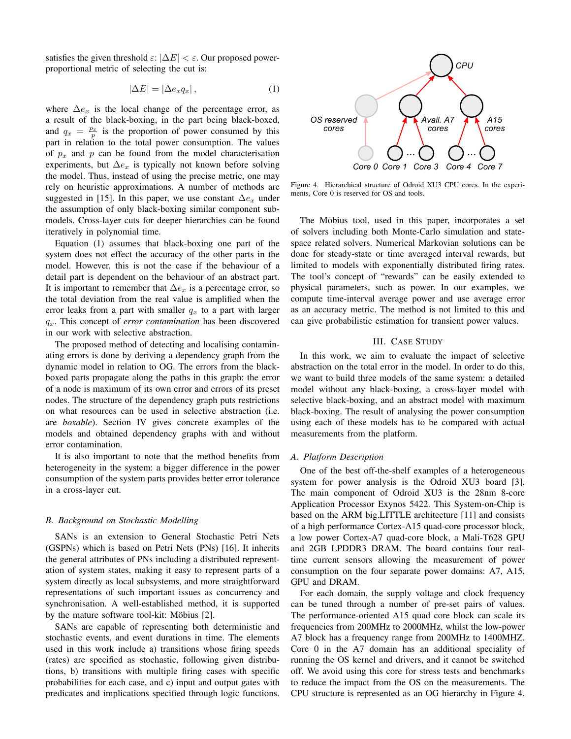satisfies the given threshold  $\varepsilon$ :  $|\Delta E| < \varepsilon$ . Our proposed powerproportional metric of selecting the cut is:

$$
|\Delta E| = |\Delta e_x q_x| \,, \tag{1}
$$

where  $\Delta e_x$  is the local change of the percentage error, as a result of the black-boxing, in the part being black-boxed, and  $q_x = \frac{p_x}{p}$  is the proportion of power consumed by this part in relation to the total power consumption. The values of  $p_x$  and p can be found from the model characterisation experiments, but  $\Delta e_x$  is typically not known before solving the model. Thus, instead of using the precise metric, one may rely on heuristic approximations. A number of methods are suggested in [15]. In this paper, we use constant  $\Delta e_x$  under the assumption of only black-boxing similar component submodels. Cross-layer cuts for deeper hierarchies can be found iteratively in polynomial time.

Equation (1) assumes that black-boxing one part of the system does not effect the accuracy of the other parts in the model. However, this is not the case if the behaviour of a detail part is dependent on the behaviour of an abstract part. It is important to remember that  $\Delta e_x$  is a percentage error, so the total deviation from the real value is amplified when the error leaks from a part with smaller  $q_x$  to a part with larger qx. This concept of *error contamination* has been discovered in our work with selective abstraction.

The proposed method of detecting and localising contaminating errors is done by deriving a dependency graph from the dynamic model in relation to OG. The errors from the blackboxed parts propagate along the paths in this graph: the error of a node is maximum of its own error and errors of its preset nodes. The structure of the dependency graph puts restrictions on what resources can be used in selective abstraction (i.e. are *boxable*). Section IV gives concrete examples of the models and obtained dependency graphs with and without error contamination.

It is also important to note that the method benefits from heterogeneity in the system: a bigger difference in the power consumption of the system parts provides better error tolerance in a cross-layer cut.

#### *B. Background on Stochastic Modelling*

SANs is an extension to General Stochastic Petri Nets (GSPNs) which is based on Petri Nets (PNs) [16]. It inherits the general attributes of PNs including a distributed representation of system states, making it easy to represent parts of a system directly as local subsystems, and more straightforward representations of such important issues as concurrency and synchronisation. A well-established method, it is supported by the mature software tool-kit: Möbius [2].

SANs are capable of representing both deterministic and stochastic events, and event durations in time. The elements used in this work include a) transitions whose firing speeds (rates) are specified as stochastic, following given distributions, b) transitions with multiple firing cases with specific probabilities for each case, and c) input and output gates with predicates and implications specified through logic functions.



Figure 4. Hierarchical structure of Odroid XU3 CPU cores. In the experiments, Core 0 is reserved for OS and tools.

The Möbius tool, used in this paper, incorporates a set of solvers including both Monte-Carlo simulation and statespace related solvers. Numerical Markovian solutions can be done for steady-state or time averaged interval rewards, but limited to models with exponentially distributed firing rates. The tool's concept of "rewards" can be easily extended to physical parameters, such as power. In our examples, we compute time-interval average power and use average error as an accuracy metric. The method is not limited to this and can give probabilistic estimation for transient power values.

#### III. CASE STUDY

In this work, we aim to evaluate the impact of selective abstraction on the total error in the model. In order to do this, we want to build three models of the same system: a detailed model without any black-boxing, a cross-layer model with selective black-boxing, and an abstract model with maximum black-boxing. The result of analysing the power consumption using each of these models has to be compared with actual measurements from the platform.

#### *A. Platform Description*

One of the best off-the-shelf examples of a heterogeneous system for power analysis is the Odroid XU3 board [3]. The main component of Odroid XU3 is the 28nm 8-core Application Processor Exynos 5422. This System-on-Chip is based on the ARM big.LITTLE architecture [11] and consists of a high performance Cortex-A15 quad-core processor block, a low power Cortex-A7 quad-core block, a Mali-T628 GPU and 2GB LPDDR3 DRAM. The board contains four realtime current sensors allowing the measurement of power consumption on the four separate power domains: A7, A15, GPU and DRAM.

For each domain, the supply voltage and clock frequency can be tuned through a number of pre-set pairs of values. The performance-oriented A15 quad core block can scale its frequencies from 200MHz to 2000MHz, whilst the low-power A7 block has a frequency range from 200MHz to 1400MHZ. Core 0 in the A7 domain has an additional speciality of running the OS kernel and drivers, and it cannot be switched off. We avoid using this core for stress tests and benchmarks to reduce the impact from the OS on the measurements. The CPU structure is represented as an OG hierarchy in Figure 4.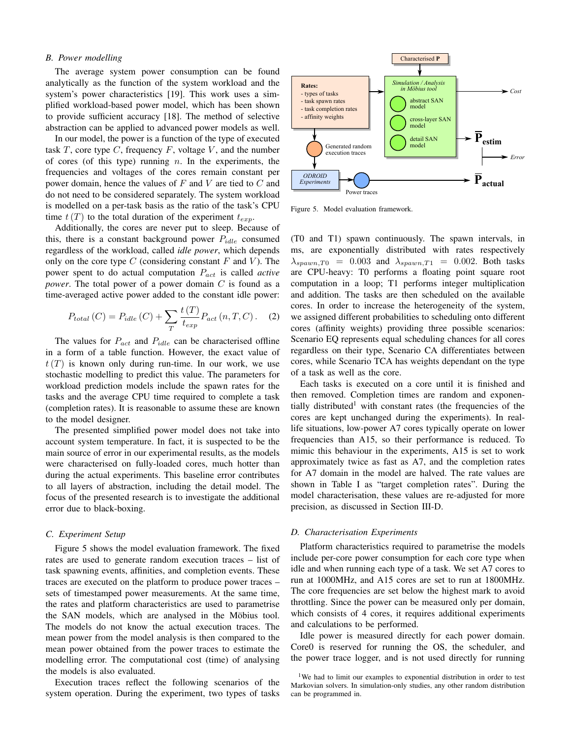#### *B. Power modelling*

The average system power consumption can be found analytically as the function of the system workload and the system's power characteristics [19]. This work uses a simplified workload-based power model, which has been shown to provide sufficient accuracy [18]. The method of selective abstraction can be applied to advanced power models as well.

In our model, the power is a function of the type of executed task T, core type C, frequency F, voltage V, and the number of cores (of this type) running  $n$ . In the experiments, the frequencies and voltages of the cores remain constant per power domain, hence the values of  $F$  and  $V$  are tied to  $C$  and do not need to be considered separately. The system workload is modelled on a per-task basis as the ratio of the task's CPU time  $t(T)$  to the total duration of the experiment  $t_{exp}$ .

Additionally, the cores are never put to sleep. Because of this, there is a constant background power  $P_{idle}$  consumed regardless of the workload, called *idle power*, which depends only on the core type  $C$  (considering constant  $F$  and  $V$ ). The power spent to do actual computation Pact is called *active power*. The total power of a power domain C is found as a time-averaged active power added to the constant idle power:

$$
P_{total}(C) = P_{idle}(C) + \sum_{T} \frac{t(T)}{t_{exp}} P_{act}(n, T, C). \quad (2)
$$

The values for  $P_{act}$  and  $P_{idle}$  can be characterised offline in a form of a table function. However, the exact value of  $t(T)$  is known only during run-time. In our work, we use stochastic modelling to predict this value. The parameters for workload prediction models include the spawn rates for the tasks and the average CPU time required to complete a task (completion rates). It is reasonable to assume these are known to the model designer.

The presented simplified power model does not take into account system temperature. In fact, it is suspected to be the main source of error in our experimental results, as the models were characterised on fully-loaded cores, much hotter than during the actual experiments. This baseline error contributes to all layers of abstraction, including the detail model. The focus of the presented research is to investigate the additional error due to black-boxing.

#### *C. Experiment Setup*

Figure 5 shows the model evaluation framework. The fixed rates are used to generate random execution traces – list of task spawning events, affinities, and completion events. These traces are executed on the platform to produce power traces – sets of timestamped power measurements. At the same time, the rates and platform characteristics are used to parametrise the SAN models, which are analysed in the Möbius tool. The models do not know the actual execution traces. The mean power from the model analysis is then compared to the mean power obtained from the power traces to estimate the modelling error. The computational cost (time) of analysing the models is also evaluated.

Execution traces reflect the following scenarios of the system operation. During the experiment, two types of tasks



Figure 5. Model evaluation framework.

(T0 and T1) spawn continuously. The spawn intervals, in ms, are exponentially distributed with rates respectively  $\lambda_{spam,T0}$  = 0.003 and  $\lambda_{spam,T1}$  = 0.002. Both tasks are CPU-heavy: T0 performs a floating point square root computation in a loop; T1 performs integer multiplication and addition. The tasks are then scheduled on the available cores. In order to increase the heterogeneity of the system, we assigned different probabilities to scheduling onto different cores (affinity weights) providing three possible scenarios: Scenario EQ represents equal scheduling chances for all cores regardless on their type, Scenario CA differentiates between cores, while Scenario TCA has weights dependant on the type of a task as well as the core.

Each tasks is executed on a core until it is finished and then removed. Completion times are random and exponentially distributed<sup>1</sup> with constant rates (the frequencies of the cores are kept unchanged during the experiments). In reallife situations, low-power A7 cores typically operate on lower frequencies than A15, so their performance is reduced. To mimic this behaviour in the experiments, A15 is set to work approximately twice as fast as A7, and the completion rates for A7 domain in the model are halved. The rate values are shown in Table I as "target completion rates". During the model characterisation, these values are re-adjusted for more precision, as discussed in Section III-D.

#### *D. Characterisation Experiments*

Platform characteristics required to parametrise the models include per-core power consumption for each core type when idle and when running each type of a task. We set A7 cores to run at 1000MHz, and A15 cores are set to run at 1800MHz. The core frequencies are set below the highest mark to avoid throttling. Since the power can be measured only per domain, which consists of 4 cores, it requires additional experiments and calculations to be performed.

Idle power is measured directly for each power domain. Core0 is reserved for running the OS, the scheduler, and the power trace logger, and is not used directly for running

<sup>&</sup>lt;sup>1</sup>We had to limit our examples to exponential distribution in order to test Markovian solvers. In simulation-only studies, any other random distribution can be programmed in.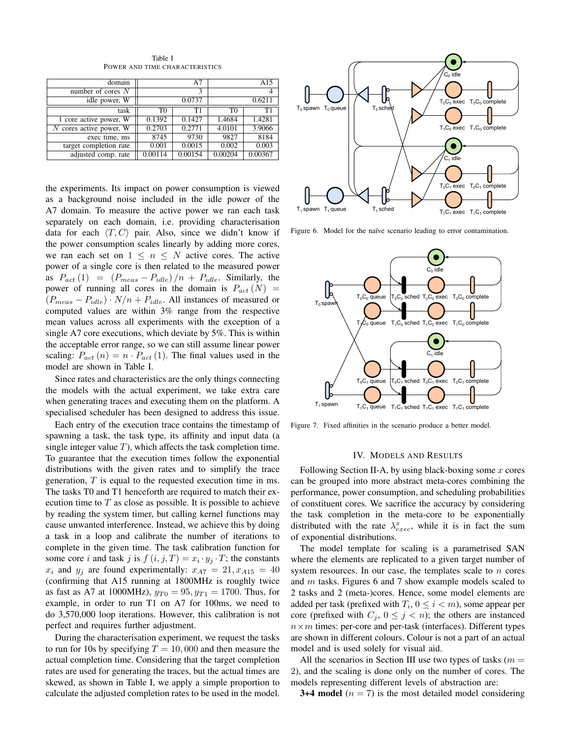Table I POWER AND TIME CHARACTERISTICS

| domain                    |                | A7      |                | A15     |
|---------------------------|----------------|---------|----------------|---------|
| number of cores $N$       | 3              |         |                |         |
| idle power, W             | 0.0737         |         | 0.6211         |         |
| task                      | T <sub>0</sub> | T1      | T <sub>0</sub> | T1      |
| 1 core active power, W    | 0.1392         | 0.1427  | 1.4684         | 1.4281  |
| $N$ cores active power, W | 0.2703         | 0.2771  | 4.0101         | 3.9066  |
| exec time, ms             | 8745           | 9730    | 9827           | 8184    |
| target completion rate    | 0.001          | 0.0015  | 0.002          | 0.003   |
| adjusted comp. rate       | 0.00114        | 0.00154 | 0.00204        | 0.00367 |

the experiments. Its impact on power consumption is viewed as a background noise included in the idle power of the A7 domain. To measure the active power we ran each task separately on each domain, i.e. providing characterisation data for each  $\langle T, C \rangle$  pair. Also, since we didn't know if the power consumption scales linearly by adding more cores, we ran each set on  $1 \leq n \leq N$  active cores. The active power of a single core is then related to the measured power as  $P_{act}(1) = (P_{meas} - P_{idle})/n + P_{idle}$ . Similarly, the power of running all cores in the domain is  $P_{act}(N)$  =  $(P_{meas} - P_{idle}) \cdot N/n + P_{idle}$ . All instances of measured or computed values are within 3% range from the respective mean values across all experiments with the exception of a single A7 core executions, which deviate by 5%. This is within the acceptable error range, so we can still assume linear power scaling:  $P_{act}(n) = n \cdot P_{act}(1)$ . The final values used in the model are shown in Table I.

Since rates and characteristics are the only things connecting the models with the actual experiment, we take extra care when generating traces and executing them on the platform. A specialised scheduler has been designed to address this issue.

Each entry of the execution trace contains the timestamp of spawning a task, the task type, its affinity and input data (a single integer value  $T$ ), which affects the task completion time. To guarantee that the execution times follow the exponential distributions with the given rates and to simplify the trace generation,  $T$  is equal to the requested execution time in ms. The tasks T0 and T1 henceforth are required to match their execution time to  $T$  as close as possible. It is possible to achieve by reading the system timer, but calling kernel functions may cause unwanted interference. Instead, we achieve this by doing a task in a loop and calibrate the number of iterations to complete in the given time. The task calibration function for some core *i* and task *j* is  $f(i, j, T) = x_i \cdot y_j \cdot T$ ; the constants  $x_i$  and  $y_j$  are found experimentally:  $x_{A7} = 21, x_{A15} = 40$ (confirming that A15 running at 1800MHz is roughly twice as fast as A7 at 1000MHz),  $y_{T0} = 95$ ,  $y_{T1} = 1700$ . Thus, for example, in order to run T1 on A7 for 100ms, we need to do 3,570,000 loop iterations. However, this calibration is not perfect and requires further adjustment.

During the characterisation experiment, we request the tasks to run for 10s by specifying  $T = 10,000$  and then measure the actual completion time. Considering that the target completion rates are used for generating the traces, but the actual times are skewed, as shown in Table I, we apply a simple proportion to calculate the adjusted completion rates to be used in the model.



Figure 6. Model for the naïve scenario leading to error contamination.



Figure 7. Fixed affinities in the scenario produce a better model.

#### IV. MODELS AND RESULTS

Following Section II-A, by using black-boxing some  $x$  cores can be grouped into more abstract meta-cores combining the performance, power consumption, and scheduling probabilities of constituent cores. We sacrifice the accuracy by considering the task completion in the meta-core to be exponentially distributed with the rate  $\lambda_{exec}^x$ , while it is in fact the sum of exponential distributions.

The model template for scaling is a parametrised SAN where the elements are replicated to a given target number of system resources. In our case, the templates scale to  $n$  cores and m tasks. Figures 6 and 7 show example models scaled to 2 tasks and 2 (meta-)cores. Hence, some model elements are added per task (prefixed with  $T_i$ ,  $0 \le i \le m$ ), some appear per core (prefixed with  $C_j$ ,  $0 \leq j \leq n$ ); the others are instanced  $n \times m$  times: per-core and per-task (interfaces). Different types are shown in different colours. Colour is not a part of an actual model and is used solely for visual aid.

All the scenarios in Section III use two types of tasks  $(m =$ 2), and the scaling is done only on the number of cores. The models representing different levels of abstraction are:

3+4 model ( $n = 7$ ) is the most detailed model considering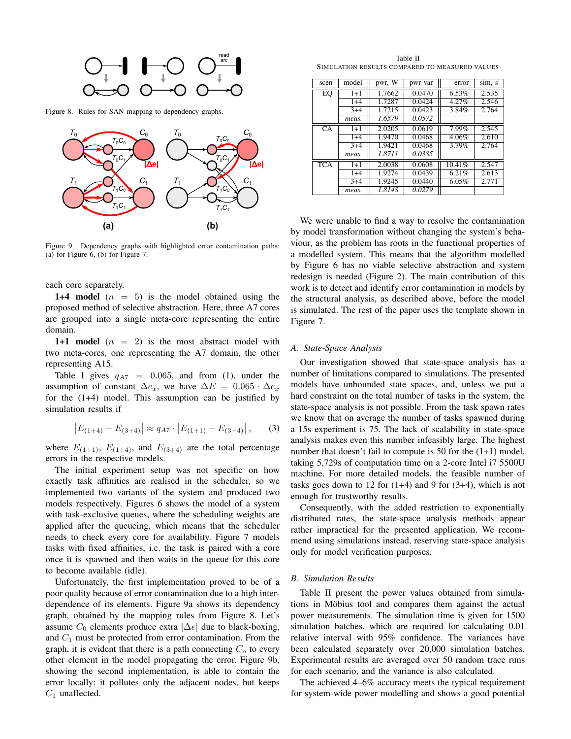

Figure 8. Rules for SAN mapping to dependency graphs.



Figure 9. Dependency graphs with highlighted error contamination paths: (a) for Figure 6, (b) for Figure 7.

each core separately.

1+4 model  $(n = 5)$  is the model obtained using the proposed method of selective abstraction. Here, three A7 cores are grouped into a single meta-core representing the entire domain.

1+1 model  $(n = 2)$  is the most abstract model with two meta-cores, one representing the A7 domain, the other representing A15.

Table I gives  $q_{A7} = 0.065$ , and from (1), under the assumption of constant  $\Delta e_x$ , we have  $\Delta E = 0.065 \cdot \Delta e_x$ for the (1+4) model. This assumption can be justified by simulation results if

$$
\left| E_{(1+4)} - E_{(3+4)} \right| \approx q_{A7} \cdot \left| E_{(1+1)} - E_{(3+4)} \right|, \tag{3}
$$

where  $E_{(1+1)}$ ,  $E_{(1+4)}$ , and  $E_{(3+4)}$  are the total percentage errors in the respective models.

The initial experiment setup was not specific on how exactly task affinities are realised in the scheduler, so we implemented two variants of the system and produced two models respectively. Figures 6 shows the model of a system with task-exclusive queues, where the scheduling weights are applied after the queueing, which means that the scheduler needs to check every core for availability. Figure 7 models tasks with fixed affinities, i.e. the task is paired with a core once it is spawned and then waits in the queue for this core to become available (idle).

Unfortunately, the first implementation proved to be of a poor quality because of error contamination due to a high interdependence of its elements. Figure 9a shows its dependency graph, obtained by the mapping rules from Figure 8. Let's assume  $C_0$  elements produce extra  $|\Delta e|$  due to black-boxing, and  $C_1$  must be protected from error contamination. From the graph, it is evident that there is a path connecting  $C<sub>o</sub>$  to every other element in the model propagating the error. Figure 9b, showing the second implementation, is able to contain the error locally: it pollutes only the adjacent nodes, but keeps  $C_1$  unaffected.

Table II SIMULATION RESULTS COMPARED TO MEASURED VALUES

| scen       | model   | pwr, W | pwr var | error  | sim, s |
|------------|---------|--------|---------|--------|--------|
| EQ         | $1 + 1$ | 1.7662 | 0.0470  | 6.53%  | 2.535  |
|            | $1+4$   | 1.7287 | 0.0424  | 4.27%  | 2.546  |
|            | $3+4$   | 1.7215 | 0.0423  | 3.84%  | 2.764  |
|            | meas.   | 1.6579 | 0.0572  |        |        |
| CA         | $1 + 1$ | 2.0205 | 0.0619  | 7.99%  | 2.545  |
|            | $1+4$   | 1.9470 | 0.0468  | 4.06%  | 2.610  |
|            | $3+4$   | 1.9421 | 0.0468  | 3.79%  | 2.764  |
|            | meas.   | 1.8711 | 0.0385  |        |        |
| <b>TCA</b> | $1+1$   | 2.0038 | 0.0608  | 10.41% | 2.547  |
|            | $1+4$   | 1.9274 | 0.0439  | 6.21%  | 2.613  |
|            | $3+4$   | 1.9245 | 0.0440  | 6.05%  | 2.771  |
|            | meas.   | 1.8148 | 0.0279  |        |        |

We were unable to find a way to resolve the contamination by model transformation without changing the system's behaviour, as the problem has roots in the functional properties of a modelled system. This means that the algorithm modelled by Figure 6 has no viable selective abstraction and system redesign is needed (Figure 2). The main contribution of this work is to detect and identify error contamination in models by the structural analysis, as described above, before the model is simulated. The rest of the paper uses the template shown in Figure 7.

#### *A. State-Space Analysis*

Our investigation showed that state-space analysis has a number of limitations compared to simulations. The presented models have unbounded state spaces, and, unless we put a hard constraint on the total number of tasks in the system, the state-space analysis is not possible. From the task spawn rates we know that on average the number of tasks spawned during a 15s experiment is 75. The lack of scalability in state-space analysis makes even this number infeasibly large. The highest number that doesn't fail to compute is 50 for the  $(1+1)$  model, taking 5,729s of computation time on a 2-core Intel i7 5500U machine. For more detailed models, the feasible number of tasks goes down to 12 for  $(1+4)$  and 9 for  $(3+4)$ , which is not enough for trustworthy results.

Consequently, with the added restriction to exponentially distributed rates, the state-space analysis methods appear rather impractical for the presented application. We recommend using simulations instead, reserving state-space analysis only for model verification purposes.

#### *B. Simulation Results*

Table II present the power values obtained from simulations in Möbius tool and compares them against the actual power measurements. The simulation time is given for 1500 simulation batches, which are required for calculating 0.01 relative interval with 95% confidence. The variances have been calculated separately over 20,000 simulation batches. Experimental results are averaged over 50 random trace runs for each scenario, and the variance is also calculated.

The achieved 4–6% accuracy meets the typical requirement for system-wide power modelling and shows a good potential